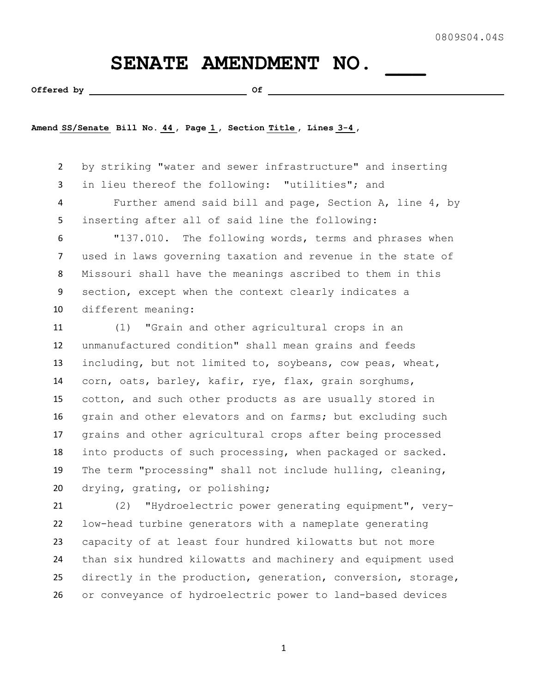## SENATE AMENDMENT NO.

Offered by **Contact Contact 2** Of <u>Contact Of</u> Contact Of <u>Contact Of Contact Of Contact Of Contact Of Contact Of Contact Of Contact Of Contact Of Contact Of Contact Of Contact Of Contact Of Contact Of Contact Of Contact O</u>

**Amend SS/Senate Bill No. 44 , Page 1 , Section Title , Lines 3-4 ,** 

 by striking "water and sewer infrastructure" and inserting in lieu thereof the following: "utilities"; and Further amend said bill and page, Section A, line 4, by inserting after all of said line the following:

 "137.010. The following words, terms and phrases when used in laws governing taxation and revenue in the state of Missouri shall have the meanings ascribed to them in this section, except when the context clearly indicates a different meaning:

 (1) "Grain and other agricultural crops in an unmanufactured condition" shall mean grains and feeds including, but not limited to, soybeans, cow peas, wheat, corn, oats, barley, kafir, rye, flax, grain sorghums, cotton, and such other products as are usually stored in grain and other elevators and on farms; but excluding such grains and other agricultural crops after being processed into products of such processing, when packaged or sacked. The term "processing" shall not include hulling, cleaning, drying, grating, or polishing;

 (2) "Hydroelectric power generating equipment", very- low-head turbine generators with a nameplate generating capacity of at least four hundred kilowatts but not more than six hundred kilowatts and machinery and equipment used directly in the production, generation, conversion, storage, or conveyance of hydroelectric power to land-based devices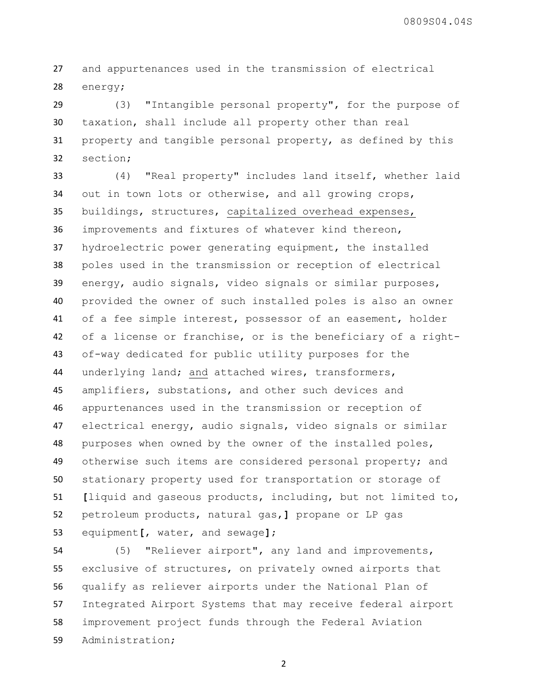and appurtenances used in the transmission of electrical energy;

 (3) "Intangible personal property", for the purpose of taxation, shall include all property other than real property and tangible personal property, as defined by this section;

 (4) "Real property" includes land itself, whether laid out in town lots or otherwise, and all growing crops, buildings, structures, capitalized overhead expenses, improvements and fixtures of whatever kind thereon, hydroelectric power generating equipment, the installed poles used in the transmission or reception of electrical energy, audio signals, video signals or similar purposes, provided the owner of such installed poles is also an owner of a fee simple interest, possessor of an easement, holder of a license or franchise, or is the beneficiary of a right- of-way dedicated for public utility purposes for the underlying land; and attached wires, transformers, amplifiers, substations, and other such devices and appurtenances used in the transmission or reception of electrical energy, audio signals, video signals or similar purposes when owned by the owner of the installed poles, 49 otherwise such items are considered personal property; and stationary property used for transportation or storage of **[**liquid and gaseous products, including, but not limited to, petroleum products, natural gas,**]** propane or LP gas equipment**[**, water, and sewage**]**;

 (5) "Reliever airport", any land and improvements, exclusive of structures, on privately owned airports that qualify as reliever airports under the National Plan of Integrated Airport Systems that may receive federal airport improvement project funds through the Federal Aviation Administration;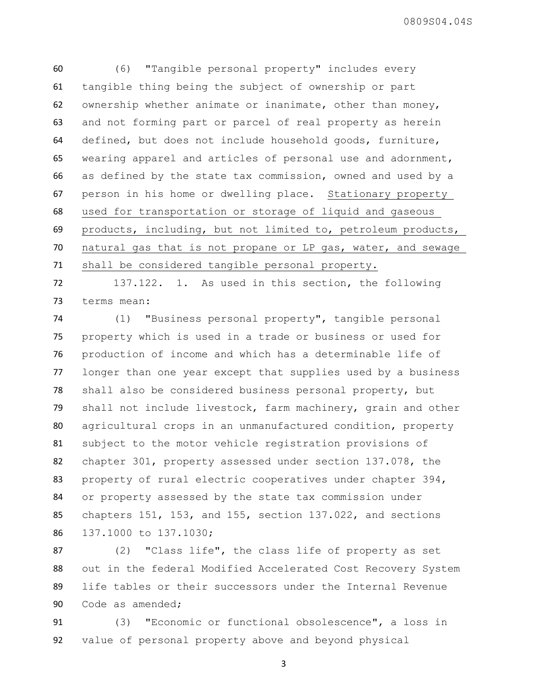(6) "Tangible personal property" includes every tangible thing being the subject of ownership or part ownership whether animate or inanimate, other than money, and not forming part or parcel of real property as herein defined, but does not include household goods, furniture, wearing apparel and articles of personal use and adornment, as defined by the state tax commission, owned and used by a person in his home or dwelling place. Stationary property used for transportation or storage of liquid and gaseous products, including, but not limited to, petroleum products, natural gas that is not propane or LP gas, water, and sewage shall be considered tangible personal property.

 137.122. 1. As used in this section, the following terms mean:

 (1) "Business personal property", tangible personal property which is used in a trade or business or used for production of income and which has a determinable life of longer than one year except that supplies used by a business shall also be considered business personal property, but shall not include livestock, farm machinery, grain and other agricultural crops in an unmanufactured condition, property subject to the motor vehicle registration provisions of chapter 301, property assessed under section 137.078, the 83 property of rural electric cooperatives under chapter 394, or property assessed by the state tax commission under chapters 151, 153, and 155, section 137.022, and sections 137.1000 to 137.1030;

 (2) "Class life", the class life of property as set out in the federal Modified Accelerated Cost Recovery System life tables or their successors under the Internal Revenue Code as amended;

 (3) "Economic or functional obsolescence", a loss in value of personal property above and beyond physical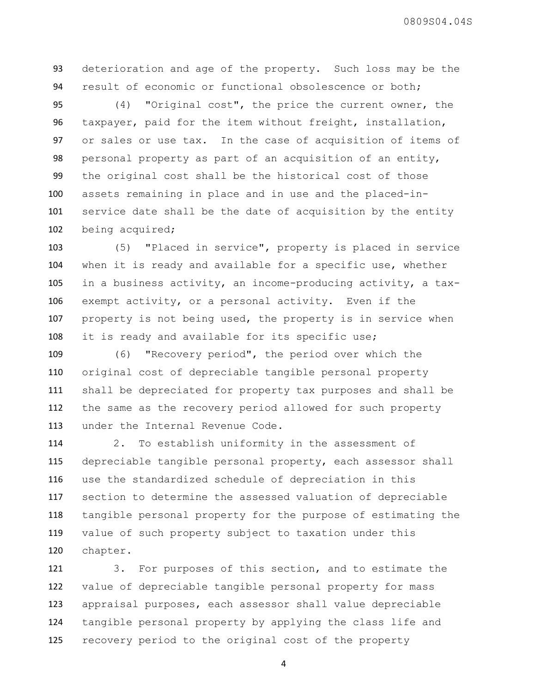deterioration and age of the property. Such loss may be the result of economic or functional obsolescence or both;

 (4) "Original cost", the price the current owner, the taxpayer, paid for the item without freight, installation, or sales or use tax. In the case of acquisition of items of personal property as part of an acquisition of an entity, the original cost shall be the historical cost of those assets remaining in place and in use and the placed-in- service date shall be the date of acquisition by the entity being acquired;

 (5) "Placed in service", property is placed in service when it is ready and available for a specific use, whether in a business activity, an income-producing activity, a tax- exempt activity, or a personal activity. Even if the property is not being used, the property is in service when it is ready and available for its specific use;

 (6) "Recovery period", the period over which the original cost of depreciable tangible personal property shall be depreciated for property tax purposes and shall be the same as the recovery period allowed for such property under the Internal Revenue Code.

 2. To establish uniformity in the assessment of depreciable tangible personal property, each assessor shall use the standardized schedule of depreciation in this section to determine the assessed valuation of depreciable tangible personal property for the purpose of estimating the value of such property subject to taxation under this chapter.

 3. For purposes of this section, and to estimate the value of depreciable tangible personal property for mass appraisal purposes, each assessor shall value depreciable tangible personal property by applying the class life and recovery period to the original cost of the property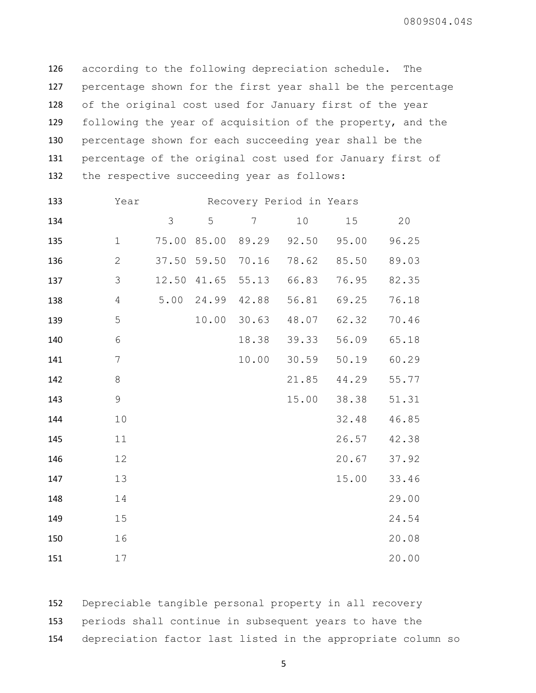according to the following depreciation schedule. The percentage shown for the first year shall be the percentage of the original cost used for January first of the year 129 following the year of acquisition of the property, and the percentage shown for each succeeding year shall be the percentage of the original cost used for January first of the respective succeeding year as follows:

| 133 | Year           | Recovery Period in Years |       |                |       |       |       |
|-----|----------------|--------------------------|-------|----------------|-------|-------|-------|
| 134 |                | 3                        | 5     | $7\phantom{.}$ | 10    | 15    | 20    |
| 135 | $\mathbf 1$    | 75.00                    | 85.00 | 89.29          | 92.50 | 95.00 | 96.25 |
| 136 | $\mathbf{2}$   | 37.50                    | 59.50 | 70.16          | 78.62 | 85.50 | 89.03 |
| 137 | 3              | 12.50                    | 41.65 | 55.13          | 66.83 | 76.95 | 82.35 |
| 138 | $\overline{4}$ | 5.00                     | 24.99 | 42.88          | 56.81 | 69.25 | 76.18 |
| 139 | 5              |                          | 10.00 | 30.63          | 48.07 | 62.32 | 70.46 |
| 140 | 6              |                          |       | 18.38          | 39.33 | 56.09 | 65.18 |
| 141 | 7              |                          |       | 10.00          | 30.59 | 50.19 | 60.29 |
| 142 | 8              |                          |       |                | 21.85 | 44.29 | 55.77 |
| 143 | $\mathsf 9$    |                          |       |                | 15.00 | 38.38 | 51.31 |
| 144 | 10             |                          |       |                |       | 32.48 | 46.85 |
| 145 | 11             |                          |       |                |       | 26.57 | 42.38 |
| 146 | 12             |                          |       |                |       | 20.67 | 37.92 |
| 147 | 13             |                          |       |                |       | 15.00 | 33.46 |
| 148 | 14             |                          |       |                |       |       | 29.00 |
| 149 | 15             |                          |       |                |       |       | 24.54 |
| 150 | 16             |                          |       |                |       |       | 20.08 |
| 151 | 17             |                          |       |                |       |       | 20.00 |

 Depreciable tangible personal property in all recovery periods shall continue in subsequent years to have the depreciation factor last listed in the appropriate column so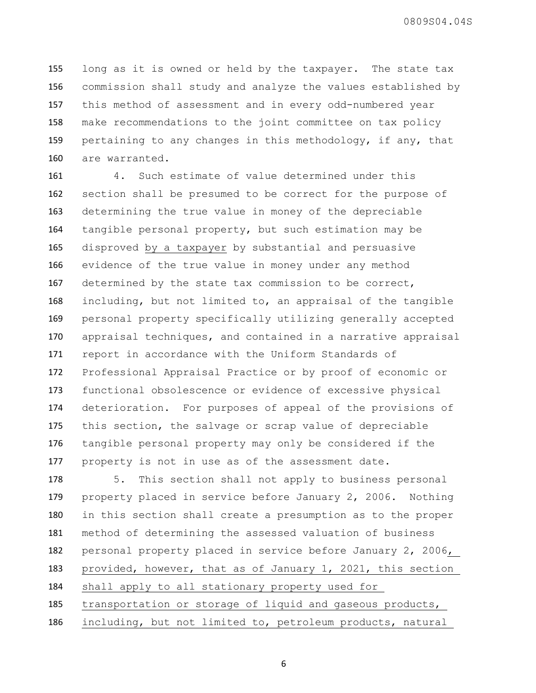long as it is owned or held by the taxpayer. The state tax commission shall study and analyze the values established by this method of assessment and in every odd-numbered year make recommendations to the joint committee on tax policy pertaining to any changes in this methodology, if any, that are warranted.

 4. Such estimate of value determined under this section shall be presumed to be correct for the purpose of determining the true value in money of the depreciable tangible personal property, but such estimation may be disproved by a taxpayer by substantial and persuasive evidence of the true value in money under any method determined by the state tax commission to be correct, including, but not limited to, an appraisal of the tangible personal property specifically utilizing generally accepted appraisal techniques, and contained in a narrative appraisal report in accordance with the Uniform Standards of Professional Appraisal Practice or by proof of economic or functional obsolescence or evidence of excessive physical deterioration. For purposes of appeal of the provisions of this section, the salvage or scrap value of depreciable tangible personal property may only be considered if the property is not in use as of the assessment date.

 5. This section shall not apply to business personal property placed in service before January 2, 2006. Nothing in this section shall create a presumption as to the proper method of determining the assessed valuation of business personal property placed in service before January 2, 2006, provided, however, that as of January 1, 2021, this section shall apply to all stationary property used for transportation or storage of liquid and gaseous products,

including, but not limited to, petroleum products, natural